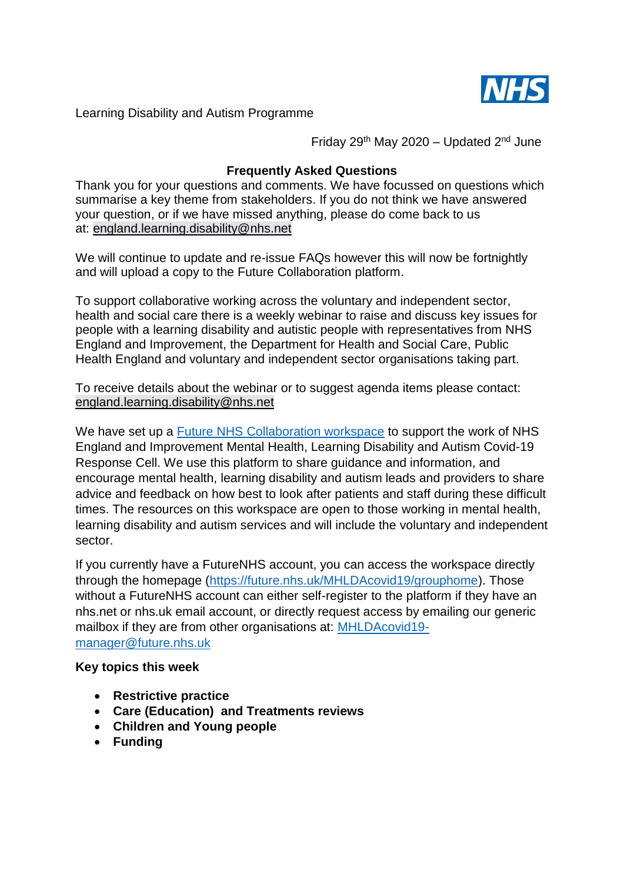

Learning Disability and Autism Programme

Friday 29<sup>th</sup> May 2020 - Updated 2<sup>nd</sup> June

## **Frequently Asked Questions**

Thank you for your questions and comments. We have focussed on questions which summarise a key theme from stakeholders. If you do not think we have answered your question, or if we have missed anything, please do come back to us at: england.learning.disability@nhs.net

We will continue to update and re-issue FAQs however this will now be fortnightly and will upload a copy to the Future Collaboration platform.

To support collaborative working across the voluntary and independent sector, health and social care there is a weekly webinar to raise and discuss key issues for people with a learning disability and autistic people with representatives from NHS England and Improvement, the Department for Health and Social Care, Public Health England and voluntary and independent sector organisations taking part.

To receive details about the webinar or to suggest agenda items please contact: england.learning.disability@nhs.net

We have set up a [Future NHS Collaboration workspace](https://future.nhs.uk/MHLDAcovid19/groupHome) to support the work of NHS England and Improvement Mental Health, Learning Disability and Autism Covid-19 Response Cell. We use this platform to share guidance and information, and encourage mental health, learning disability and autism leads and providers to share advice and feedback on how best to look after patients and staff during these difficult times. The resources on this workspace are open to those working in mental health, learning disability and autism services and will include the voluntary and independent sector.

If you currently have a FutureNHS account, you can access the workspace directly through the homepage [\(https://future.nhs.uk/MHLDAcovid19/grouphome\)](https://future.nhs.uk/MHLDAcovid19/grouphome). Those without a FutureNHS account can either self-register to the platform if they have an nhs.net or nhs.uk email account, or directly request access by emailing our generic mailbox if they are from other organisations at: [MHLDAcovid19](mailto:MHLDAcovid19-manager@future.nhs.uk) [manager@future.nhs.uk](mailto:MHLDAcovid19-manager@future.nhs.uk)

#### **Key topics this week**

- **Restrictive practice**
- **Care (Education) and Treatments reviews**
- **Children and Young people**
- **Funding**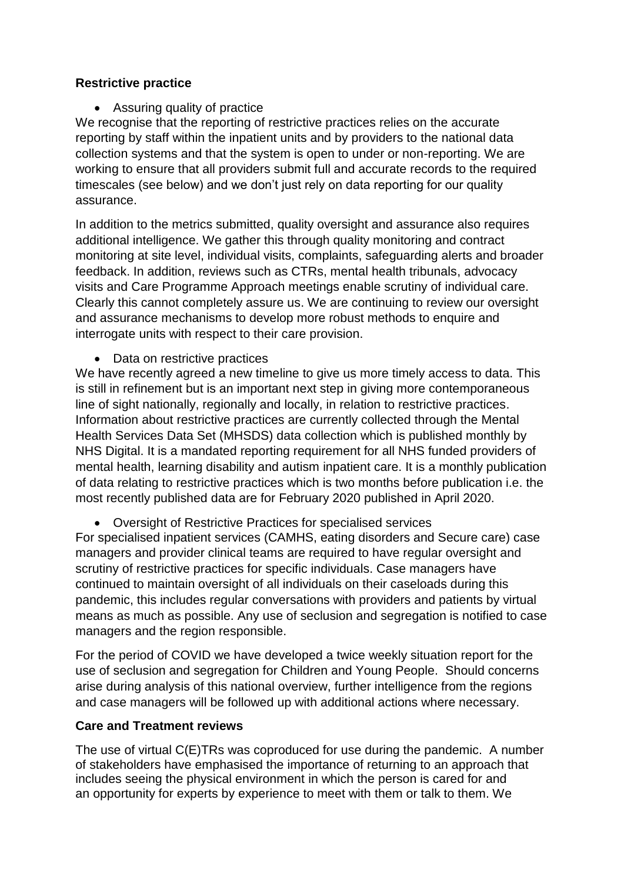## **Restrictive practice**

• Assuring quality of practice

We recognise that the reporting of restrictive practices relies on the accurate reporting by staff within the inpatient units and by providers to the national data collection systems and that the system is open to under or non-reporting. We are working to ensure that all providers submit full and accurate records to the required timescales (see below) and we don't just rely on data reporting for our quality assurance.

In addition to the metrics submitted, quality oversight and assurance also requires additional intelligence. We gather this through quality monitoring and contract monitoring at site level, individual visits, complaints, safeguarding alerts and broader feedback. In addition, reviews such as CTRs, mental health tribunals, advocacy visits and Care Programme Approach meetings enable scrutiny of individual care. Clearly this cannot completely assure us. We are continuing to review our oversight and assurance mechanisms to develop more robust methods to enquire and interrogate units with respect to their care provision.

• Data on restrictive practices

We have recently agreed a new timeline to give us more timely access to data. This is still in refinement but is an important next step in giving more contemporaneous line of sight nationally, regionally and locally, in relation to restrictive practices. Information about restrictive practices are currently collected through the Mental Health Services Data Set (MHSDS) data collection which is published monthly by NHS Digital. It is a mandated reporting requirement for all NHS funded providers of mental health, learning disability and autism inpatient care. It is a monthly publication of data relating to restrictive practices which is two months before publication i.e. the most recently published data are for February 2020 published in April 2020.

• Oversight of Restrictive Practices for specialised services

For specialised inpatient services (CAMHS, eating disorders and Secure care) case managers and provider clinical teams are required to have regular oversight and scrutiny of restrictive practices for specific individuals. Case managers have continued to maintain oversight of all individuals on their caseloads during this pandemic, this includes regular conversations with providers and patients by virtual means as much as possible. Any use of seclusion and segregation is notified to case managers and the region responsible.

For the period of COVID we have developed a twice weekly situation report for the use of seclusion and segregation for Children and Young People. Should concerns arise during analysis of this national overview, further intelligence from the regions and case managers will be followed up with additional actions where necessary.

# **Care and Treatment reviews**

The use of virtual C(E)TRs was coproduced for use during the pandemic. A number of stakeholders have emphasised the importance of returning to an approach that includes seeing the physical environment in which the person is cared for and an opportunity for experts by experience to meet with them or talk to them. We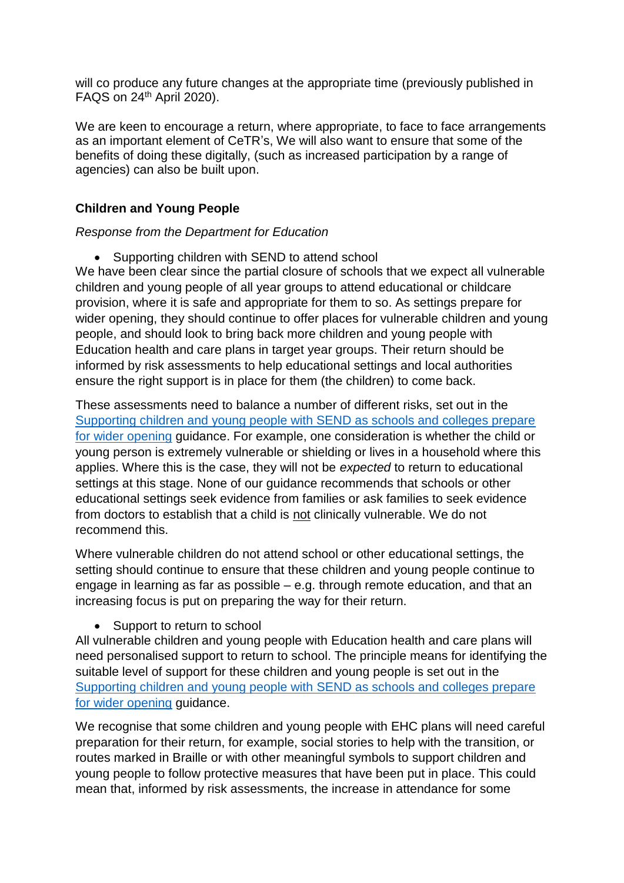will co produce any future changes at the appropriate time (previously published in FAQS on  $24<sup>th</sup>$  April 2020).

We are keen to encourage a return, where appropriate, to face to face arrangements as an important element of CeTR's, We will also want to ensure that some of the benefits of doing these digitally, (such as increased participation by a range of agencies) can also be built upon.

## **Children and Young People**

#### *Response from the Department for Education*

Supporting children with SEND to attend school

We have been clear since the partial closure of schools that we expect all vulnerable children and young people of all year groups to attend educational or childcare provision, where it is safe and appropriate for them to so. As settings prepare for wider opening, they should continue to offer places for vulnerable children and young people, and should look to bring back more children and young people with Education health and care plans in target year groups. Their return should be informed by risk assessments to help educational settings and local authorities ensure the right support is in place for them (the children) to come back.

These assessments need to balance a number of different risks, set out in the [Supporting children and young people with SEND as schools and colleges prepare](https://www.gov.uk/government/publications/coronavirus-covid-19-send-risk-assessment-guidance/coronavirus-covid-19-send-risk-assessment-guidance)  [for wider opening](https://www.gov.uk/government/publications/coronavirus-covid-19-send-risk-assessment-guidance/coronavirus-covid-19-send-risk-assessment-guidance) guidance. For example, one consideration is whether the child or young person is extremely vulnerable or shielding or lives in a household where this applies. Where this is the case, they will not be *expected* to return to educational settings at this stage. None of our guidance recommends that schools or other educational settings seek evidence from families or ask families to seek evidence from doctors to establish that a child is not clinically vulnerable. We do not recommend this.

Where vulnerable children do not attend school or other educational settings, the setting should continue to ensure that these children and young people continue to engage in learning as far as possible – e.g. through remote education, and that an increasing focus is put on preparing the way for their return.

#### • Support to return to school

All vulnerable children and young people with Education health and care plans will need personalised support to return to school. The principle means for identifying the suitable level of support for these children and young people is set out in the [Supporting children and young people with](https://www.gov.uk/government/publications/coronavirus-covid-19-send-risk-assessment-guidance/coronavirus-covid-19-send-risk-assessment-guidance) SEND as schools and colleges prepare [for wider opening](https://www.gov.uk/government/publications/coronavirus-covid-19-send-risk-assessment-guidance/coronavirus-covid-19-send-risk-assessment-guidance) guidance.

We recognise that some children and young people with EHC plans will need careful preparation for their return, for example, social stories to help with the transition, or routes marked in Braille or with other meaningful symbols to support children and young people to follow protective measures that have been put in place. This could mean that, informed by risk assessments, the increase in attendance for some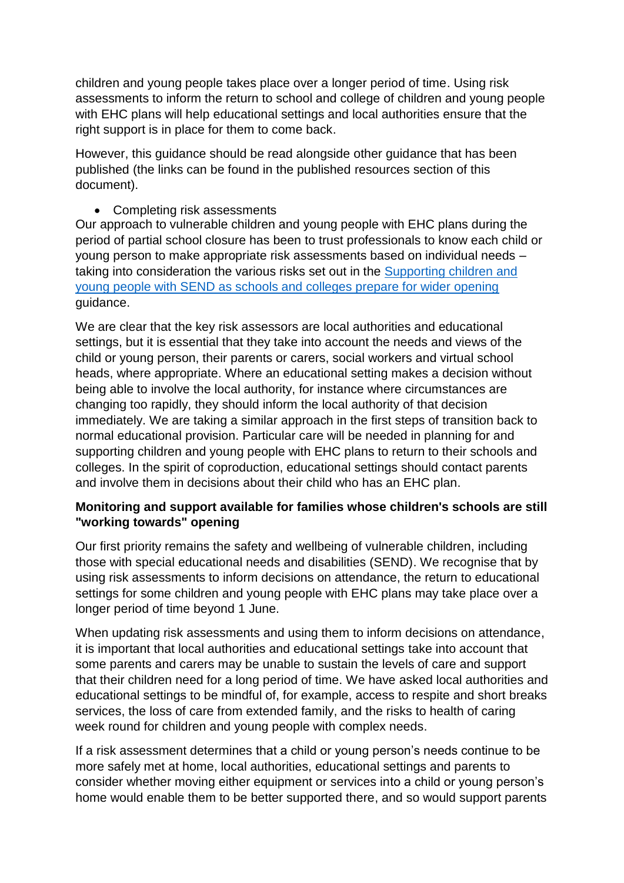children and young people takes place over a longer period of time. Using risk assessments to inform the return to school and college of children and young people with EHC plans will help educational settings and local authorities ensure that the right support is in place for them to come back.

However, this guidance should be read alongside other guidance that has been published (the links can be found in the published resources section of this document).

## • Completing risk assessments

Our approach to vulnerable children and young people with EHC plans during the period of partial school closure has been to trust professionals to know each child or young person to make appropriate risk assessments based on individual needs – taking into consideration the various risks set out in the [Supporting children and](https://www.gov.uk/government/publications/coronavirus-covid-19-send-risk-assessment-guidance/coronavirus-covid-19-send-risk-assessment-guidance)  [young people with SEND as schools and colleges prepare for wider opening](https://www.gov.uk/government/publications/coronavirus-covid-19-send-risk-assessment-guidance/coronavirus-covid-19-send-risk-assessment-guidance) guidance.

We are clear that the key risk assessors are local authorities and educational settings, but it is essential that they take into account the needs and views of the child or young person, their parents or carers, social workers and virtual school heads, where appropriate. Where an educational setting makes a decision without being able to involve the local authority, for instance where circumstances are changing too rapidly, they should inform the local authority of that decision immediately. We are taking a similar approach in the first steps of transition back to normal educational provision. Particular care will be needed in planning for and supporting children and young people with EHC plans to return to their schools and colleges. In the spirit of coproduction, educational settings should contact parents and involve them in decisions about their child who has an EHC plan.

## **Monitoring and support available for families whose children's schools are still "working towards" opening**

Our first priority remains the safety and wellbeing of vulnerable children, including those with special educational needs and disabilities (SEND). We recognise that by using risk assessments to inform decisions on attendance, the return to educational settings for some children and young people with EHC plans may take place over a longer period of time beyond 1 June.

When updating risk assessments and using them to inform decisions on attendance, it is important that local authorities and educational settings take into account that some parents and carers may be unable to sustain the levels of care and support that their children need for a long period of time. We have asked local authorities and educational settings to be mindful of, for example, access to respite and short breaks services, the loss of care from extended family, and the risks to health of caring week round for children and young people with complex needs.

If a risk assessment determines that a child or young person's needs continue to be more safely met at home, local authorities, educational settings and parents to consider whether moving either equipment or services into a child or young person's home would enable them to be better supported there, and so would support parents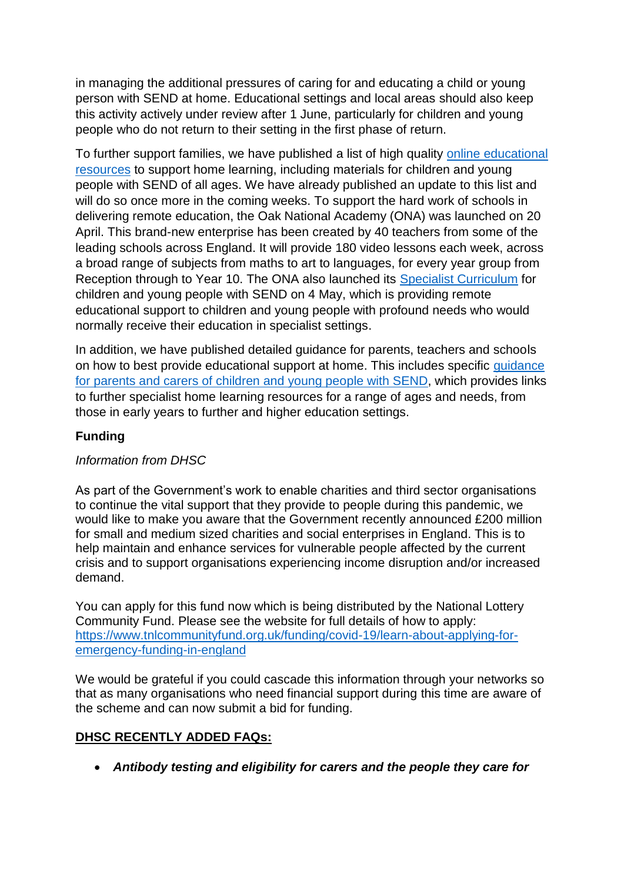in managing the additional pressures of caring for and educating a child or young person with SEND at home. Educational settings and local areas should also keep this activity actively under review after 1 June, particularly for children and young people who do not return to their setting in the first phase of return.

To further support families, we have published a list of high quality [online educational](https://www.gov.uk/government/publications/coronavirus-covid-19-online-education-resources/online-science-pe-wellbeing-and-send-resources-for-home-education#special-educational-needs-and-disabilities-send)  [resources](https://www.gov.uk/government/publications/coronavirus-covid-19-online-education-resources/online-science-pe-wellbeing-and-send-resources-for-home-education#special-educational-needs-and-disabilities-send) to support home learning, including materials for children and young people with SEND of all ages. We have already published an update to this list and will do so once more in the coming weeks. To support the hard work of schools in delivering remote education, the Oak National Academy (ONA) was launched on 20 April. This brand-new enterprise has been created by 40 teachers from some of the leading schools across England. It will provide 180 video lessons each week, across a broad range of subjects from maths to art to languages, for every year group from Reception through to Year 10. The ONA also launched its [Specialist Curriculum](https://www.thenational.academy/online-classroom/specialist/#subjects) for children and young people with SEND on 4 May, which is providing remote educational support to children and young people with profound needs who would normally receive their education in specialist settings.

In addition, we have published detailed guidance for parents, teachers and schools on how to best provide educational support at home. This includes specific [guidance](https://www.gov.uk/guidance/help-children-with-send-continue-their-education-during-coronavirus-covid-19)  [for parents and carers of children and young people with SEND,](https://www.gov.uk/guidance/help-children-with-send-continue-their-education-during-coronavirus-covid-19) which provides links to further specialist home learning resources for a range of ages and needs, from those in early years to further and higher education settings.

## **Funding**

## *Information from DHSC*

As part of the Government's work to enable charities and third sector organisations to continue the vital support that they provide to people during this pandemic, we would like to make you aware that the Government recently announced £200 million for small and medium sized charities and social enterprises in England. This is to help maintain and enhance services for vulnerable people affected by the current crisis and to support organisations experiencing income disruption and/or increased demand.

You can apply for this fund now which is being distributed by the National Lottery Community Fund. Please see the website for full details of how to apply: [https://www.tnlcommunityfund.org.uk/funding/covid-19/learn-about-applying-for](https://www.tnlcommunityfund.org.uk/funding/covid-19/learn-about-applying-for-emergency-funding-in-england)[emergency-funding-in-england](https://www.tnlcommunityfund.org.uk/funding/covid-19/learn-about-applying-for-emergency-funding-in-england)

We would be grateful if you could cascade this information through your networks so that as many organisations who need financial support during this time are aware of the scheme and can now submit a bid for funding.

## **DHSC RECENTLY ADDED FAQs:**

• *Antibody testing and eligibility for carers and the people they care for*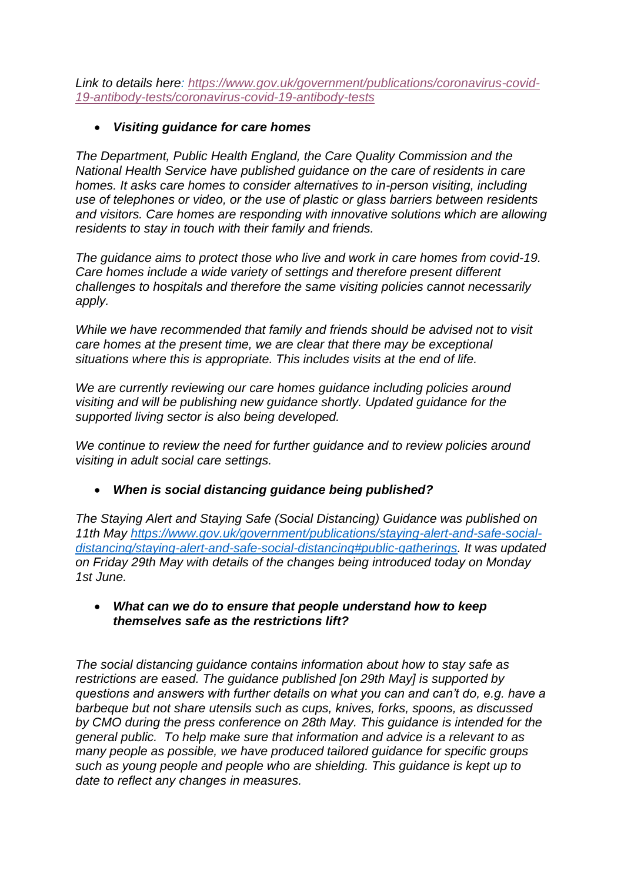*Link to details here: [https://www.gov.uk/government/publications/coronavirus-covid-](https://www.gov.uk/government/publications/coronavirus-covid-19-antibody-tests/coronavirus-covid-19-antibody-tests)[19-antibody-tests/coronavirus-covid-19-antibody-tests](https://www.gov.uk/government/publications/coronavirus-covid-19-antibody-tests/coronavirus-covid-19-antibody-tests)*

#### • *Visiting guidance for care homes*

*The Department, Public Health England, the Care Quality Commission and the National Health Service have published guidance on the care of residents in care homes. It asks care homes to consider alternatives to in-person visiting, including use of telephones or video, or the use of plastic or glass barriers between residents and visitors. Care homes are responding with innovative solutions which are allowing residents to stay in touch with their family and friends.*

*The guidance aims to protect those who live and work in care homes from covid-19. Care homes include a wide variety of settings and therefore present different challenges to hospitals and therefore the same visiting policies cannot necessarily apply.* 

*While we have recommended that family and friends should be advised not to visit care homes at the present time, we are clear that there may be exceptional situations where this is appropriate. This includes visits at the end of life.*

*We are currently reviewing our care homes guidance including policies around visiting and will be publishing new guidance shortly. Updated guidance for the supported living sector is also being developed.*

*We continue to review the need for further guidance and to review policies around visiting in adult social care settings.* 

• *When is social distancing guidance being published?* 

*The Staying Alert and Staying Safe (Social Distancing) Guidance was published on 11th May [https://www.gov.uk/government/publications/staying-alert-and-safe-social](https://www.gov.uk/government/publications/staying-alert-and-safe-social-distancing/staying-alert-and-safe-social-distancing#public-gatherings)[distancing/staying-alert-and-safe-social-distancing#public-gatherings.](https://www.gov.uk/government/publications/staying-alert-and-safe-social-distancing/staying-alert-and-safe-social-distancing#public-gatherings) It was updated on Friday 29th May with details of the changes being introduced today on Monday 1st June.*

#### • *What can we do to ensure that people understand how to keep themselves safe as the restrictions lift?*

*The social distancing guidance contains information about how to stay safe as restrictions are eased. The guidance published [on 29th May] is supported by questions and answers with further details on what you can and can't do, e.g. have a barbeque but not share utensils such as cups, knives, forks, spoons, as discussed by CMO during the press conference on 28th May. This guidance is intended for the general public. To help make sure that information and advice is a relevant to as many people as possible, we have produced tailored guidance for specific groups such as young people and people who are shielding. This guidance is kept up to date to reflect any changes in measures.*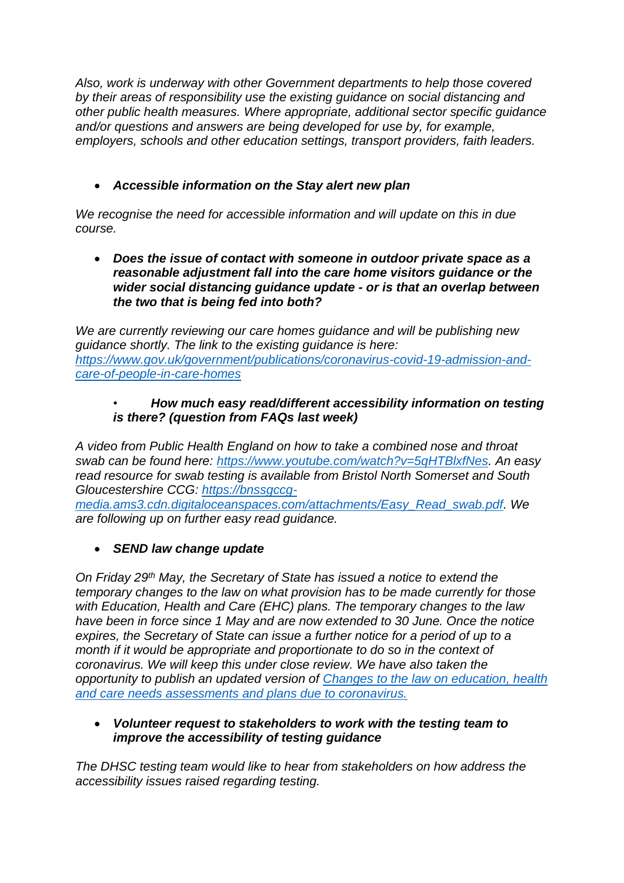*Also, work is underway with other Government departments to help those covered by their areas of responsibility use the existing guidance on social distancing and other public health measures. Where appropriate, additional sector specific guidance and/or questions and answers are being developed for use by, for example, employers, schools and other education settings, transport providers, faith leaders.*

# • *Accessible information on the Stay alert new plan*

*We recognise the need for accessible information and will update on this in due course.*

• *Does the issue of contact with someone in outdoor private space as a reasonable adjustment fall into the care home visitors guidance or the wider social distancing guidance update - or is that an overlap between the two that is being fed into both?*

*We are currently reviewing our care homes guidance and will be publishing new guidance shortly. The link to the existing guidance is here: [https://www.gov.uk/government/publications/coronavirus-covid-19-admission-and](https://www.gov.uk/government/publications/coronavirus-covid-19-admission-and-care-of-people-in-care-homes)[care-of-people-in-care-homes](https://www.gov.uk/government/publications/coronavirus-covid-19-admission-and-care-of-people-in-care-homes)*

#### *• How much easy read/different accessibility information on testing is there? (question from FAQs last week)*

*A video from Public Health England on how to take a combined nose and throat swab can be found here: [https://www.youtube.com/watch?v=5qHTBlxfNes.](https://www.youtube.com/watch?v=5qHTBlxfNes) An easy read resource for swab testing is available from Bristol North Somerset and South Gloucestershire CCG: [https://bnssgccg-](https://bnssgccg-media.ams3.cdn.digitaloceanspaces.com/attachments/Easy_Read_swab.pdf)*

*[media.ams3.cdn.digitaloceanspaces.com/attachments/Easy\\_Read\\_swab.pdf.](https://bnssgccg-media.ams3.cdn.digitaloceanspaces.com/attachments/Easy_Read_swab.pdf) We are following up on further easy read guidance.*

## • *SEND law change update*

*On Friday 29th May, the Secretary of State has issued a notice to extend the temporary changes to the law on what provision has to be made currently for those with Education, Health and Care (EHC) plans. The temporary changes to the law have been in force since 1 May and are now extended to 30 June. Once the notice expires, the Secretary of State can issue a further notice for a period of up to a month if it would be appropriate and proportionate to do so in the context of coronavirus. We will keep this under close review. We have also taken the opportunity to publish an updated version of [Changes to the law on education, health](https://www.gov.uk/government/publications/changes-to-the-law-on-education-health-and-care-needs-assessments-and-plans-due-to-coronavirus)  [and care needs assessments and plans due to coronavirus.](https://www.gov.uk/government/publications/changes-to-the-law-on-education-health-and-care-needs-assessments-and-plans-due-to-coronavirus)*

• *Volunteer request to stakeholders to work with the testing team to improve the accessibility of testing guidance* 

*The DHSC testing team would like to hear from stakeholders on how address the accessibility issues raised regarding testing.*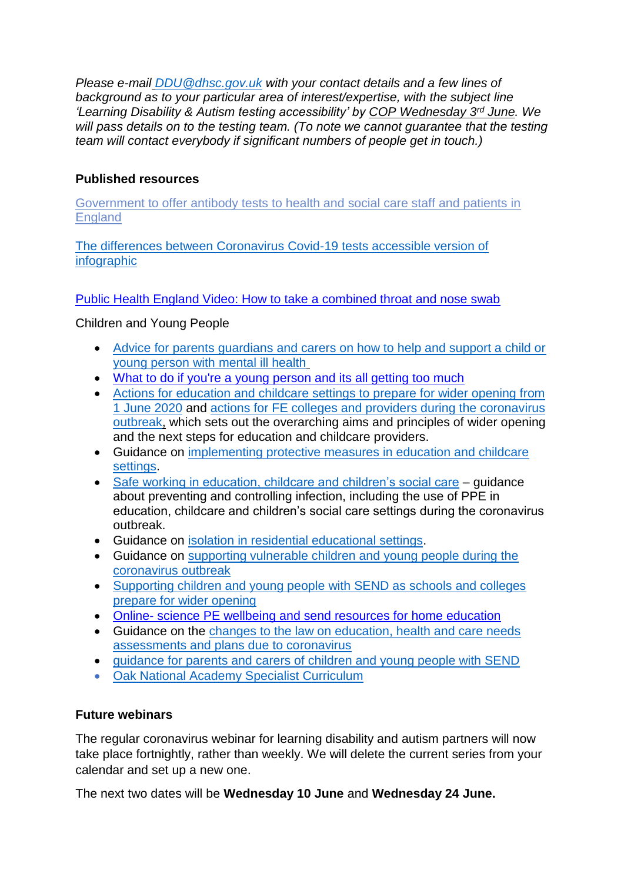*Please e-mail [DDU@dhsc.gov.uk](mailto:DDU@dhsc.gov.uk) with your contact details and a few lines of background as to your particular area of interest/expertise, with the subject line 'Learning Disability & Autism testing accessibility' by COP Wednesday 3rd June. We will pass details on to the testing team. (To note we cannot guarantee that the testing team will contact everybody if significant numbers of people get in touch.)*

# **Published resources**

[Government to offer antibody tests to health and social care staff and patients in](https://www.gov.uk/government/news/government-to-offer-antibody-tests-to-health-and-social-care-staff-and-patients-in-england)  **[England](https://www.gov.uk/government/news/government-to-offer-antibody-tests-to-health-and-social-care-staff-and-patients-in-england)** 

[The differences between Coronavirus Covid-19 tests accessible version of](https://www.gov.uk/government/publications/coronavirus-covid-19-antibody-tests/the-differences-between-coronavirus-covid-19-tests-accessible-version-of-infographic)  **[infographic](https://www.gov.uk/government/publications/coronavirus-covid-19-antibody-tests/the-differences-between-coronavirus-covid-19-tests-accessible-version-of-infographic)** 

# [Public Health England Video: How to take a combined throat and nose swab](https://www.youtube.com/watch?v=5qHTBlxfNes)

Children and Young People

- [Advice for parents guardians and carers on how to help and support a child or](https://www.england.nhs.uk/blog/advice-for-parents-guardians-and-carers-on-how-to-help-and-support-a-child-or-young-person-with-mental-ill-health/)  [young person with](https://www.england.nhs.uk/blog/advice-for-parents-guardians-and-carers-on-how-to-help-and-support-a-child-or-young-person-with-mental-ill-health/) mental ill health
- [What to do if you're a young person and its all getting too much](https://www.england.nhs.uk/blog/what-to-do-if-youre-a-young-person-and-its-all-getting-too-much/)
- [Actions for education and childcare settings to prepare for wider opening from](https://www.gov.uk/government/publications/actions-for-educational-and-childcare-settings-to-prepare-for-wider-opening-from-1-june-2020/actions-for-education-and-childcare-settings-to-prepare-for-wider-opening-from-1-june-2020)  [1 June 2020](https://www.gov.uk/government/publications/actions-for-educational-and-childcare-settings-to-prepare-for-wider-opening-from-1-june-2020/actions-for-education-and-childcare-settings-to-prepare-for-wider-opening-from-1-june-2020) and [actions for FE colleges and providers during the coronavirus](https://www.gov.uk/government/publications/coronavirus-covid-19-maintaining-further-education-provision)  [outbreak,](https://www.gov.uk/government/publications/coronavirus-covid-19-maintaining-further-education-provision) which sets out the overarching aims and principles of wider opening and the next steps for education and childcare providers.
- Guidance on [implementing protective measures in education and childcare](https://www.gov.uk/government/publications/coronavirus-covid-19-implementing-protective-measures-in-education-and-childcare-settings/coronavirus-covid-19-implementing-protective-measures-in-education-and-childcare-settings)  [settings.](https://www.gov.uk/government/publications/coronavirus-covid-19-implementing-protective-measures-in-education-and-childcare-settings/coronavirus-covid-19-implementing-protective-measures-in-education-and-childcare-settings)
- [Safe working in education, childcare and children's social care](https://www.gov.uk/government/publications/safe-working-in-education-childcare-and-childrens-social-care/safe-working-in-education-childcare-and-childrens-social-care-settings-including-the-use-of-personal-protective-equipment-ppe) quidance about preventing and controlling infection, including the use of PPE in education, childcare and children's social care settings during the coronavirus outbreak.
- Guidance on [isolation in residential educational settings.](https://www.gov.uk/government/publications/coronavirus-covid-19-guidance-on-isolation-for-residential-educational-settings/coronavirus-covid-19-guidance-on-isolation-for-residential-educational-settings)
- Guidance on [supporting vulnerable children and young people during the](https://www.gov.uk/government/publications/coronavirus-covid-19-guidance-on-vulnerable-children-and-young-people)  [coronavirus outbreak](https://www.gov.uk/government/publications/coronavirus-covid-19-guidance-on-vulnerable-children-and-young-people)
- [Supporting children and young people with SEND as schools and colleges](https://www.gov.uk/government/publications/coronavirus-covid-19-send-risk-assessment-guidance/coronavirus-covid-19-send-risk-assessment-guidance)  [prepare for wider opening](https://www.gov.uk/government/publications/coronavirus-covid-19-send-risk-assessment-guidance/coronavirus-covid-19-send-risk-assessment-guidance)
- Online- [science PE wellbeing and send resources for home education](https://www.gov.uk/government/publications/coronavirus-covid-19-online-education-resources/online-science-pe-wellbeing-and-send-resources-for-home-education#special-educational-needs-and-disabilities-send)
- Guidance on the changes to the law on education, health and care needs [assessments and plans due to coronavirus](https://www.gov.uk/government/publications/changes-to-the-law-on-education-health-and-care-needs-assessments-and-plans-due-to-coronavirus)
- [guidance for parents and carers of children and young people with SEND](https://www.gov.uk/guidance/help-children-with-send-continue-their-education-during-coronavirus-covid-19)
- [Oak National Academy Specialist Curriculum](https://www.thenational.academy/online-classroom/specialist/#subjects)

## **Future webinars**

The regular coronavirus webinar for learning disability and autism partners will now take place fortnightly, rather than weekly. We will delete the current series from your calendar and set up a new one.

The next two dates will be **Wednesday 10 June** and **Wednesday 24 June.**